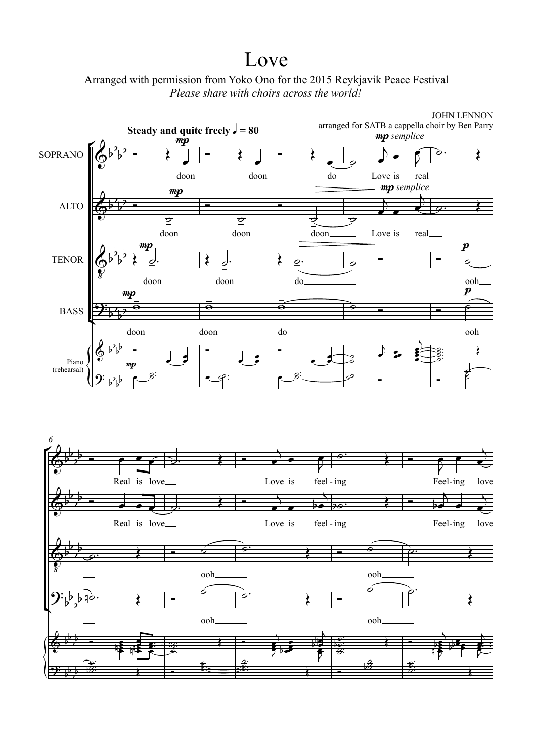## Love



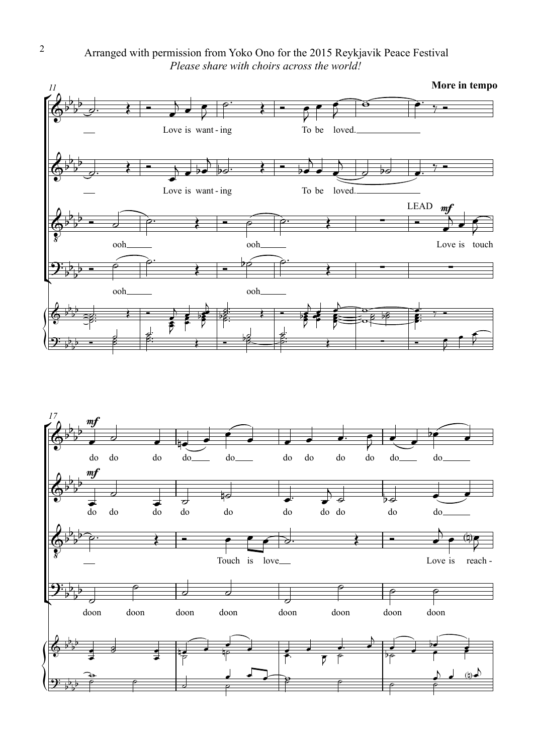Arranged with permission from Yoko Ono for the 2015 Reykjavik Peace Festival *Please share with choirs across the world!*



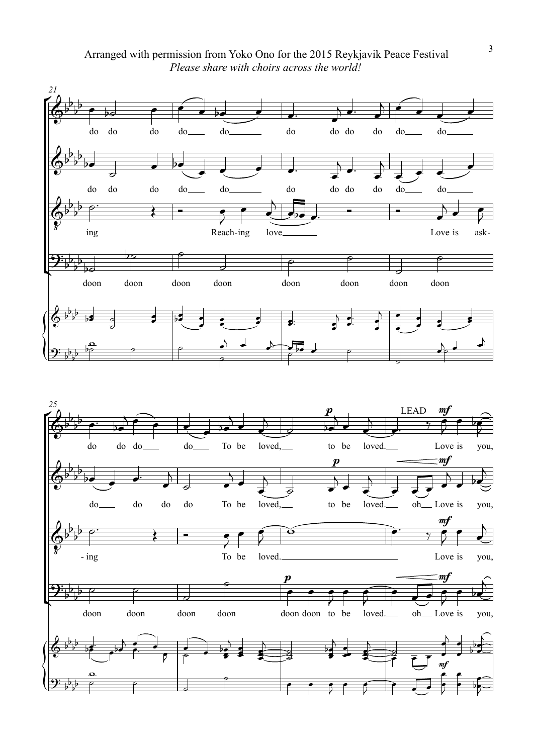Arranged with permission from Yoko Ono for the 2015 Reykjavik Peace Festival *Please share with choirs across the world!*

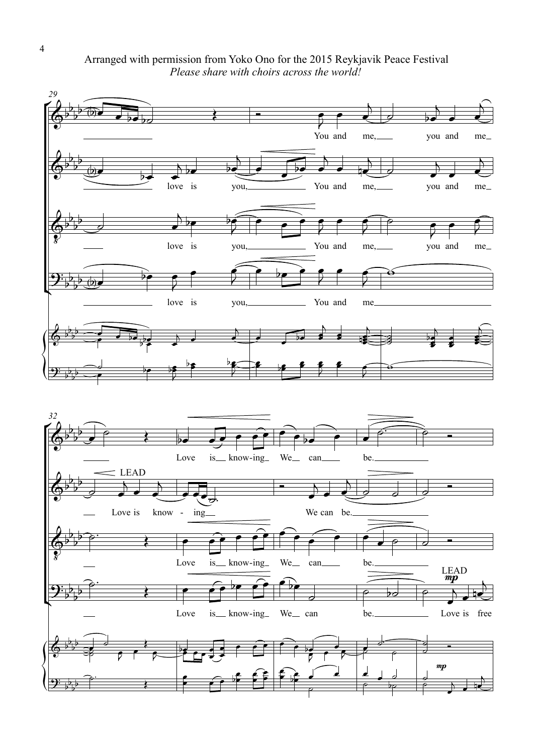Arranged with permission from Yoko Ono for the 2015 Reykjavik Peace Festival *Please share with choirs across the world!*

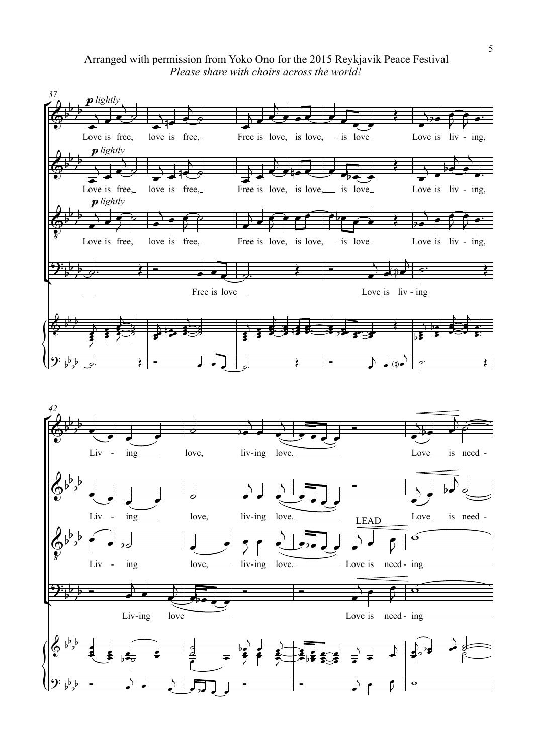## Arranged with permission from Yoko Ono for the 2015 Reykjavik Peace Festival *Please share with choirs across the world!*

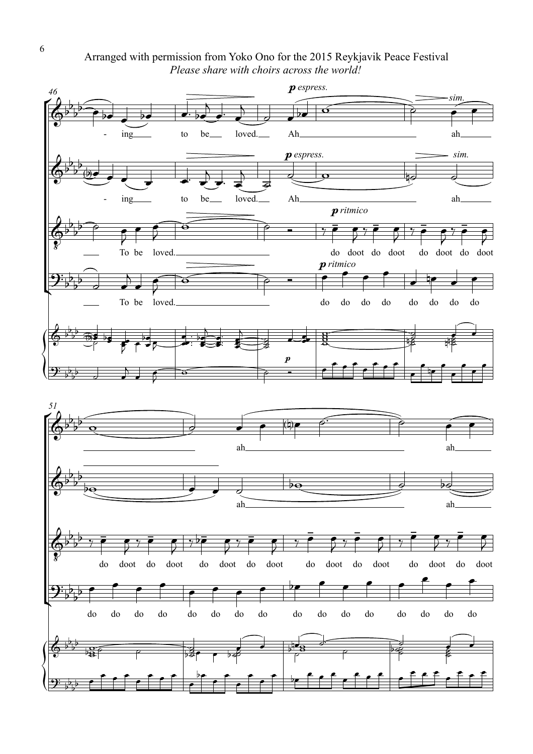Arranged with permission from Yoko Ono for the 2015 Reykjavik Peace Festival *Please share with choirs across the world!*